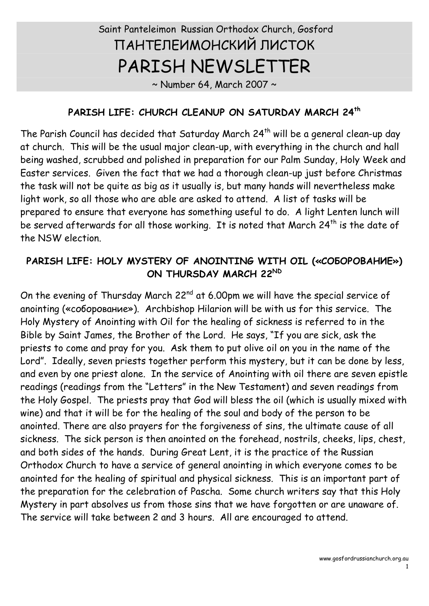# Saint Panteleimon Russian Orthodox Church, Gosford ПАНТЕЛЕИМОНСКИЙ ЛИСТОК PARISH NEWSLETTER

 $\sim$  Number 64, March 2007  $\sim$ 

#### **PARISH LIFE: CHURCH CLEANUP ON SATURDAY MARCH 24 th**

The Parish Council has decided that Saturday March  $24<sup>th</sup>$  will be a general clean-up day at church. This will be the usual major clean-up, with everything in the church and hall being washed, scrubbed and polished in preparation for our Palm Sunday, Holy Week and Easter services. Given the fact that we had a thorough clean-up just before Christmas the task will not be quite as big as it usually is, but many hands will nevertheless make light work, so all those who are able are asked to attend. A list of tasks will be prepared to ensure that everyone has something useful to do. A light Lenten lunch will be served afterwards for all those working. It is noted that March 24<sup>th</sup> is the date of the NSW election.

## **PARISH LIFE: HOLY MYSTERY OF ANOINTING WITH OIL («СОБОРОВАНИЕ») ON THURSDAY MARCH 22 ND**

On the evening of Thursday March  $22^{nd}$  at 6.00pm we will have the special service of anointing («соборование»). Archbishop Hilarion will be with us for this service. The Holy Mystery of Anointing with Oil for the healing of sickness is referred to in the Bible by Saint James, the Brother of the Lord. He says, "If you are sick, ask the priests to come and pray for you. Ask them to put olive oil on you in the name of the Lord". Ideally, seven priests together perform this mystery, but it can be done by less,<br>and even by one priest alone. In the service of Anointing with oil there are seven epistle readings (readings from the "Letters" in the New Testament) and seven readings from the Holy Gospel. The priests pray that God will bless the oil (which is usually mixed with wine) and that it will be for the healing of the soul and body of the person to be anointed. There are also prayers for the forgiveness of sins, the ultimate cause of all sickness. The sick person is then anointed on the forehead, nostrils, cheeks, lips, chest, and both sides of the hands. During Great Lent, it is the practice of the Russian Orthodox Church to have a service of general anointing in which everyone comes to be anointed for the healing of spiritual and physical sickness. This is an important part of the preparation for the celebration of Pascha. Some church writers say that this Holy Mystery in part absolves us from those sins that we have forgotten or are unaware of. The service will take between 2 and 3 hours. All are encouraged to attend.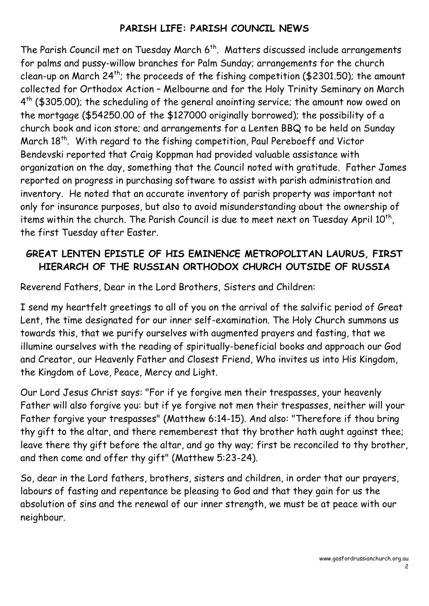### **PARISH LIFE: PARISH COUNCIL NEWS**

The Parish Council met on Tuesday March 6<sup>th</sup>. Matters discussed include arrangements for palms and pussy-willow branches for Palm Sunday; arrangements for the church clean-up on March 24<sup>th</sup>; the proceeds of the fishing competition (\$2301.50); the amount collected for Orthodox Action – Melbourne and for the Holy Trinity Seminary on March 4<sup>th</sup> (\$305.00); the scheduling of the general anointing service; the amount now owed on the mortgage (\$54250.00 of the \$127000 originally borrowed); the possibility of a church book and icon store; and arrangements for a Lenten BBQ to be held on Sunday March 18<sup>th</sup>. With regard to the fishing competition, Paul Pereboeff and Victor Bendevski reported that Craig Koppman had provided valuable assistance with organization on the day, something that the Council noted with gratitude. Father James reported on progress in purchasing software to assist with parish administration and inventory. He noted that an accurate inventory of parish property was important not only for insurance purposes, but also to avoid misunderstanding about the ownership of items within the church. The Parish Council is due to meet next on Tuesday April 10<sup>th</sup>, the first Tuesday after Easter.

#### **GREAT LENTEN EPISTLE OF HIS EMINENCE METROPOLITAN LAURUS, FIRST HIERARCH OF THE RUSSIAN ORTHODOX CHURCH OUTSIDE OF RUSSIA**

Reverend Fathers, Dear in the Lord Brothers, Sisters and Children:

I send my heartfelt greetings to all of you on the arrival of the salvific period of Great Lent, the time designated for our inner self-examination. The Holy Church summons us towards this, that we purify ourselves with augmented prayers and fasting, that we illumine ourselves with the reading of spiritually-beneficial books and approach our God and Creator, our Heavenly Father and Closest Friend, Who invites us into His Kingdom, the Kingdom of Love, Peace, Mercy and Light.

Our Lord Jesus Christ says: "For if ye forgive men their trespasses, your heavenly Father will also forgive you: but if ye forgive not men their trespasses, neither will your Father forgive your trespasses" (Matthew 6:14-15). And also: "Therefore if thou bring thy gift to the altar, and there rememberest that thy brother hath aught against thee; leave there thy gift before the altar, and go thy way; first be reconciled to thy brother, and then come and offer thy gift" (Matthew 5:23-24).

So, dear in the Lord fathers, brothers, sisters and children, in order that our prayers, labours of fasting and repentance be pleasing to God and that they gain for us the absolution of sins and the renewal of our inner strength, we must be at peace with our neighbour.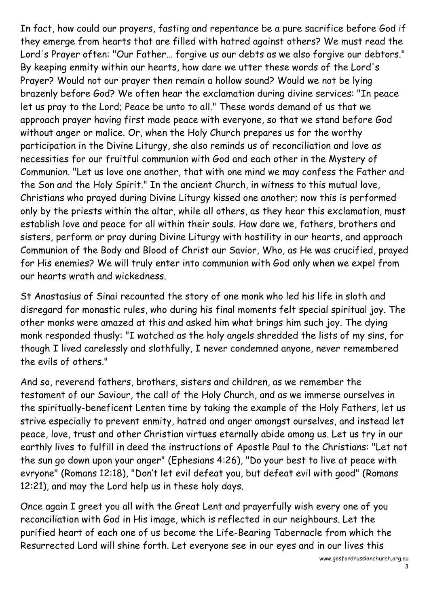In fact, how could our prayers, fasting and repentance be a pure sacrifice before God if they emerge from hearts that are filled with hatred against others? We must read the Lord's Prayer often: "Our Father… forgive us our debts as we also forgive our debtors." By keeping enmity within our hearts, how dare we utter these words of the Lord's Prayer? Would not our prayer then remain a hollow sound? Would we not be lying brazenly before God? We often hear the exclamation during divine services: "In peace let us pray to the Lord; Peace be unto to all." These words demand of us that we approach prayer having first made peace with everyone, so that we stand before God without anger or malice. Or, when the Holy Church prepares us for the worthy participation in the Divine Liturgy, she also reminds us of reconciliation and love as necessities for our fruitful communion with God and each other in the Mystery of Communion. "Let us love one another, that with one mind we may confess the Father and the Son and the Holy Spirit." In the ancient Church, in witness to this mutual love, Christians who prayed during Divine Liturgy kissed one another; now this is performed only by the priests within the altar, while all others, as they hear this exclamation, must establish love and peace for all within their souls. How dare we, fathers, brothers and sisters, perform or pray during Divine Liturgy with hostility in our hearts, and approach Communion of the Body and Blood of Christ our Savior, Who, as He was crucified, prayed for His enemies? We will truly enter into communion with God only when we expel from our hearts wrath and wickedness.

St Anastasius of Sinai recounted the story of one monk who led his life in sloth and disregard for monastic rules, who during his final moments felt special spiritual joy. The other monks were amazed at this and asked him what brings him such joy. The dying monk responded thusly: "I watched as the holy angels shredded the lists of my sins, for though I lived carelessly and slothfully, I never condemned anyone, never remembered the evils of others."

And so, reverend fathers, brothers, sisters and children, as we remember the testament of our Saviour, the call of the Holy Church, and as we immerse ourselves in the spiritually-beneficent Lenten time by taking the example of the Holy Fathers, let us strive especially to prevent enmity, hatred and anger amongst ourselves, and instead let peace, love, trust and other Christian virtues eternally abide among us. Let us try in our earthly lives to fulfill in deed the instructions of Apostle Paul to the Christians: "Let not the sun go down upon your anger" (Ephesians 4:26), "Do your best to live at peace with evryone" (Romans 12:18), "Don't let evil defeat you, but defeat evil with good" (Romans 12:21), and may the Lord help us in these holy days.

Once again I greet you all with the Great Lent and prayerfully wish every one of you reconciliation with God in His image, which is reflected in our neighbours. Let the purified heart of each one of us become the Life-Bearing Tabernacle from which the Resurrected Lord will shine forth. Let everyone see in our eyes and in our lives this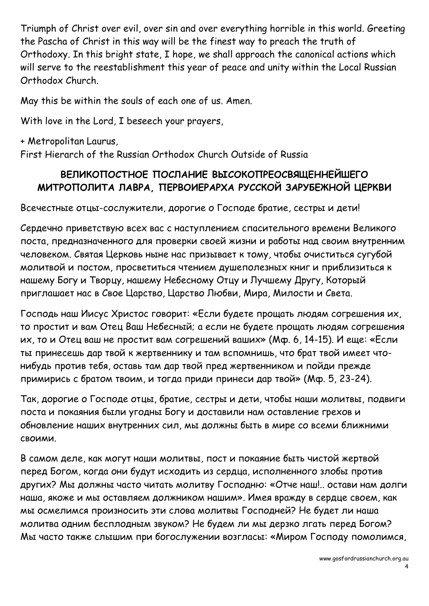Triumph of Christ over evil, over sin and over everything horrible in this world. Greeting the Pascha of Christ in this way will be the finest way to preach the truth of Orthodoxy. In this bright state, I hope, we shall approach the canonical actions which will serve to the reestablishment this year of peace and unity within the Local Russian Orthodox Church.

May this be within the souls of each one of us. Amen.

With love in the Lord, I beseech your prayers,

+ Metropolitan Laurus, First Hierarch of the Russian Orthodox Church Outside of Russia

### **ВЕЛИКОПОСТНОЕ ПОСЛАНИЕ ВЫСОКОПРЕОСВЯЩЕННЕЙШЕГО МИТРОПОЛИТА ЛАВРА, ПЕРВОИЕРАРХА РУССКОЙ ЗАРУБЕЖНОЙ ЦЕРКВИ**

Всечестные отцы-сослужители, дорогие о Господе братие, сестры и дети!

Сердечно приветствую всех вас с наступлением спасительного времени Великого поста, предназначенного для проверки своей жизни и работы над своим внутренним человеком. Святая Церковь ныне нас призывает к тому, чтобы очиститься сугубой молитвой и постом, просветиться чтением душеполезных книг и приблизиться к нашему Богу и Творцу, нашему Небесному Отцу и Лучшему Другу, Который приглашает нас в Свое Царство, Царство Любви, Мира, Милости и Света.

Господь наш Иисус Христос говорит: «Если будете прощать людям согрешения их, то простит и вам Отец Ваш Небесный; а если не будете прощать людям согрешения их, то и Отец ваш не простит вам согрешений ваших» (Мф. 6, 14-15). И еще: «Если ты принесешь дар твой к жертвеннику и там вспомнишь, что брат твой имеет чтонибудь против тебя, оставь там дар твой пред жертвенником и пойди прежде примирись с братом твоим, и тогда приди принеси дар твой» (Мф. 5, 23-24).

Так, дорогие о Господе отцы, братие, сестры и дети, чтобы наши молитвы, подвиги поста и покаяния были угодны Богу и доставили нам оставление грехов и обновление наших внутренних сил, мы должны быть в мире со всеми ближними своими.

В самом деле, как могут наши молитвы, пост и покаяние быть чистой жертвой перед Богом, когда они будут исходить из сердца, исполненного злобы против других? Мы должны часто читать молитву Господню: «Отче наш!.. остави нам долги наша, якоже и мы оставляем должником нашим». Имея вражду в сердце своем, как мы осмелимся произносить эти слова молитвы Господней? Не будет ли наша молитва одним бесплодным звуком? Не будем ли мы дерзко лгать перед Богом? Мы часто также слышим при богослужении возгласы: «Миром Господу помолимся,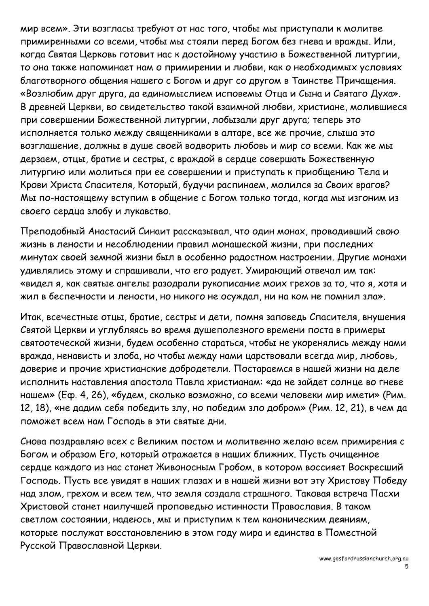мир всем». Эти возгласы требуют от нас того, чтобы мы приступали к молитве примиренными со всеми, чтобы мы стояли перед Богом без гнева и вражды. Или,<br>когда Святая Церковь готовит нас к достойному участию в Божественной литургии,<br>то она также напоминает нам о примирении и любви, как о необходимы благотворного общения нашего с Богом и друг со другом в Таинстве Причащения. «Возлюбим друг друга, да единомыслием исповемы Отца и Сына и Святаго Духа». В древней Церкви, во свидетельство такой взаимной любви, христиане, молившиеся при совершении Божественной литургии, лобызали друг друга; теперь это исполняется только между священниками в алтаре, все же прочие, слыша это возглашение, должны в душе своей водворить любовь и мир со всеми. Как же мы дерзаем, отцы, братие и сестры, с враждой в сердце совершать Божественную литургию или молиться при ее совершении и приступать к приобщению Тела и Крови Христа Спасителя, Который, будучи распинаем, молился за Своих врагов? Мы по-настоящему вступим в общение с Богом только тогда, когда мы изгоним из своего сердца злобу и лукавство.

Преподобный Анастасий Синаит рассказывал, что один монах, проводивший свою жизнь в лености и несоблюдении правил монашеской жизни, при последних минутах своей земной жизни был в особенно радостном настроении. Другие монахи удивлялись этому и спрашивали, что его радует. Умирающий отвечал им так: «видел я, как святые ангелы разодрали рукописание моих грехов за то, что я, хотя и жил в беспечности и лености, но никого не осуждал, ни на ком не помнил зла».

Итак, всечестные отцы, братие, сестры и дети, помня заповедь Спасителя, внушения Святой Церкви и углубляясь во время душеполезного времени поста в примеры святоотеческой жизни, будем особенно стараться, чтобы не укоренялись между нами вражда, ненависть и злоба, но чтобы между нами царствовали всегда мир, любовь, доверие и прочие христианские добродетели. Постараемся в нашей жизни на деле исполнить наставления апостола Павла христианам: «да не зайдет солнце во гневе нашем» (Еф. 4, 26), «будем, сколько возможно, со всеми человеки мир имети» (Рим. 12, 18), «не дадим себя победить злу, но победим зло добром» (Рим. 12, 21), в чем да поможет всем нам Господь в эти святые дни.

Снова поздравляю всех с Великим постом и молитвенно желаю всем примирения с Богом и образом Его, который отражается в наших ближних. Пусть очищенное сердце каждого из нас станет Живоносным Гробом, в котором воссияет Воскресший Господь. Пусть все увидят в наших глазах и в нашей жизни вот эту Христову Победу над злом, грехом и всем тем, что земля создала страшного. Таковая встреча Пасхи Христовой станет наилучшей проповедью истинности Православия. В таком светлом состоянии, надеюсь, мы и приступим к тем каноническим деяниям, которые послужат восстановлению в этом году мира и единства в Поместной Русской Православной Церкви.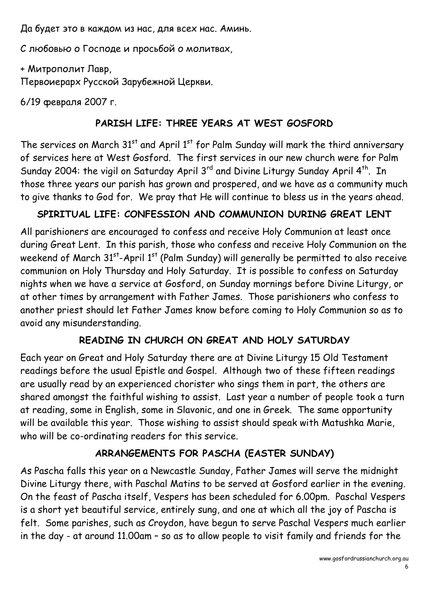Да будет это в каждом из нас, для всех нас. Аминь.

С любовью о Господе и просьбой о молитвах,

+ Митрополит Лавр,

Первоиерарх Русской Зарубежной Церкви.

6/19 февраля 2007 г.

## **PARISH LIFE: THREE YEARS AT WEST GOSFORD**

The services on March  $31<sup>st</sup>$  and April  $1<sup>st</sup>$  for Palm Sunday will mark the third anniversary of services here at West Gosford. The first services in our new church were for Palm Sunday 2004: the vigil on Saturday April 3rd and Divine Liturgy Sunday April 4<sup>th</sup>. In those three years our parish has grown and prospered, and we have as a community much to give thanks to God for. We pray that He will continue to bless us in the years ahead.

## **SPIRITUAL LIFE: CONFESSION AND COMMUNION DURING GREAT LENT**

All parishioners are encouraged to confess and receive Holy Communion at least once during Great Lent. In this parish, those who confess and receive Holy Communion on the weekend of March 31 $^{\rm st}$ -April 1 $^{\rm st}$  (Palm Sunday) will generally be permitted to also receive communion on Holy Thursday and Holy Saturday. It is possible to confess on Saturday nights when we have a service at Gosford, on Sunday mornings before Divine Liturgy, or at other times by arrangement with Father James. Those parishioners who confess to another priest should let Father James know before coming to Holy Communion so as to avoid any misunderstanding.

## **READING IN CHURCH ON GREAT AND HOLY SATURDAY**

Each year on Great and Holy Saturday there are at Divine Liturgy 15 Old Testament readings before the usual Epistle and Gospel. Although two of these fifteen readings are usually read by an experienced chorister who sings them in part, the others are shared amongst the faithful wishing to assist. Last year a number of people took a turn at reading, some in English, some in Slavonic, and one in Greek. The same opportunity will be available this year. Those wishing to assist should speak with Matushka Marie, who will be co-ordinating readers for this service.

## **ARRANGEMENTS FOR PASCHA (EASTER SUNDAY)**

As Pascha falls this year on a Newcastle Sunday, Father James will serve the midnight Divine Liturgy there, with Paschal Matins to be served at Gosford earlier in the evening. On the feast of Pascha itself, Vespers has been scheduled for 6.00pm. Paschal Vespers is a short yet beautiful service, entirely sung, and one at which all the joy of Pascha is felt. Some parishes, such as Croydon, have begun to serve Paschal Vespers much earlier in the day - at around 11.00am – so as to allow people to visit family and friends for the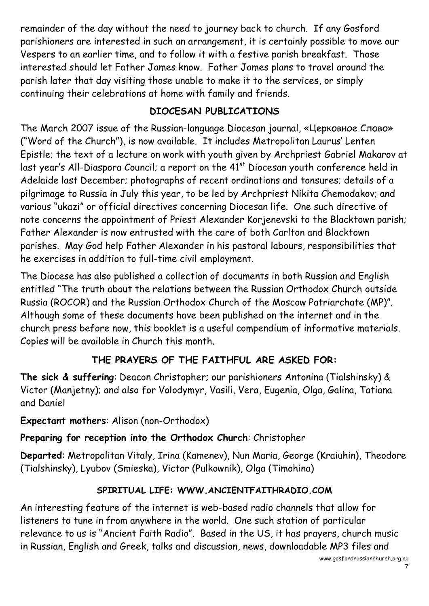remainder of the day without the need to journey back to church. If any Gosford parishioners are interested in such an arrangement, it is certainly possible to move our Vespers to an earlier time, and to follow it with a festive parish breakfast. Those interested should let Father James know. Father James plans to travel around the parish later that day visiting those unable to make it to the services, or simply continuing their celebrations at home with family and friends.

### **DIOCESAN PUBLICATIONS**

The March 2007 issue of the Russian-language Diocesan journal, «Церковное Слово» ("Word of the Church"), is now available. It includes Metropolitan Laurus' Lenten Epistle; the text of a lecture on work with youth given by Archpriest Gabriel Makarov at last year's All-Diaspora Council; a report on the 41<sup>st</sup> Diocesan youth conference held in Adelaide last December; photographs of recent ordinations and tonsures; details of a pilgrimage to Russia in July this year, to be led by Archpriest Nikita Chemodakov; and various "ukazi" or official directives concerning Diocesan life. One such directive of note concerns the appointment of Priest Alexander Korjenevski to the Blacktown parish; Father Alexander is now entrusted with the care of both Carlton and Blacktown parishes. May God help Father Alexander in his pastoral labours, responsibilities that he exercises in addition to full-time civil employment.

The Diocese has also published a collection of documents in both Russian and English entitled "The truth about the relations between the Russian Orthodox Church outside Russia (ROCOR) and the Russian Orthodox Church of the Moscow Patriarchate (MP)". Although some of these documents have been published on the internet and in the church press before now, this booklet is a useful compendium of informative materials. Copies will be available in Church this month.

## **THE PRAYERS OF THE FAITHFUL ARE ASKED FOR:**

**The sick & suffering**: Deacon Christopher; our parishioners Antonina (Tialshinsky) & Victor (Manjetny); and also for Volodymyr, Vasili, Vera, Eugenia, Olga, Galina, Tatiana and Daniel

**Expectant mothers**: Alison (non-Orthodox)

**Preparing for reception into the Orthodox Church**: Christopher

**Departed**: Metropolitan Vitaly, Irina (Kamenev), Nun Maria, George (Kraiuhin), Theodore (Tialshinsky), Lyubov (Smieska), Victor (Pulkownik), Olga (Timohina)

# **SPIRITUAL LIFE: WWW.ANCIENTFAITHRADIO.COM**

An interesting feature of the internet is web-based radio channels that allow for listeners to tune in from anywhere in the world. One such station of particular relevance to us is "Ancient Faith Radio". Based in the US, it has prayers, church music in Russian, English and Greek, talks and discussion, news, downloadable MP3 files and